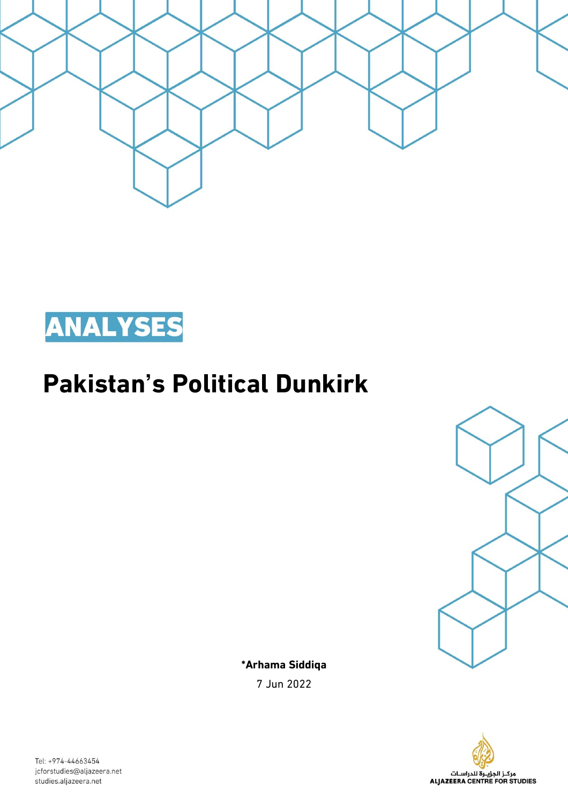



# **Pakistan's Political Dunkirk**



**\*Arhama Siddiqa** 7 Jun 2022



Tel: +974-44663454 jcforstudies@aljazeera.net studies.aljazeera.net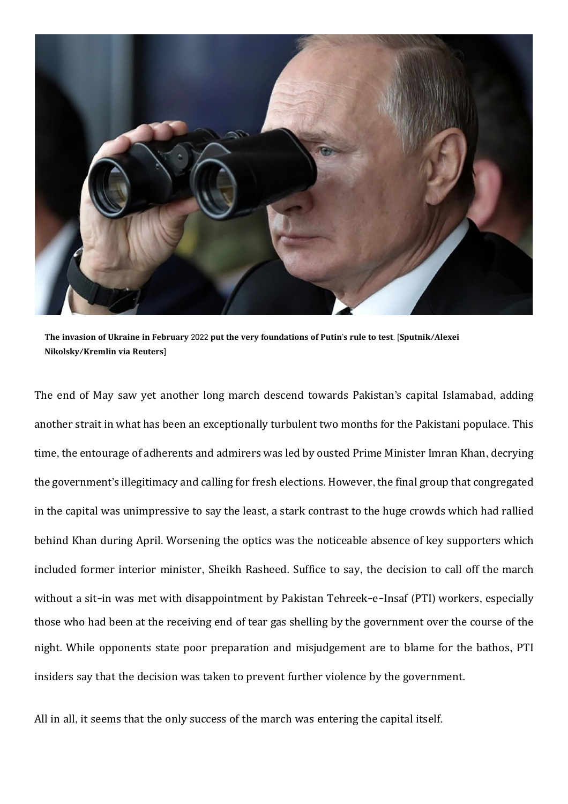

The invasion of Ukraine in February 2022 put the very foundations of Putin's rule to test. [Sputnik/Alexei **Nikolsky**/**Kremlin via Reuters**]

The end of May saw yet another long march descend towards Pakistan's capital Islamabad, adding another strait in what has been an exceptionally turbulent two months for the Pakistani populace. This time, the entourage of adherents and admirers was led by ousted Prime Minister Imran Khan, decrying the government's illegitimacy and calling for fresh elections. However, the final group that congregated in the capital was unimpressive to say the least, a stark contrast to the huge crowds which had rallied behind Khan during April. Worsening the optics was the noticeable absence of key supporters which included former interior minister, Sheikh Rasheed. Suffice to say, the decision to call off the march without a sit-in was met with disappointment by Pakistan Tehreek-e-Insaf (PTI) workers, especially those who had been at the receiving end of tear gas shelling by the government over the course of the night. While opponents state poor preparation and misjudgement are to blame for the bathos, PTI insiders say that the decision was taken to prevent further violence by the government.

All in all, it seems that the only success of the march was entering the capital itself.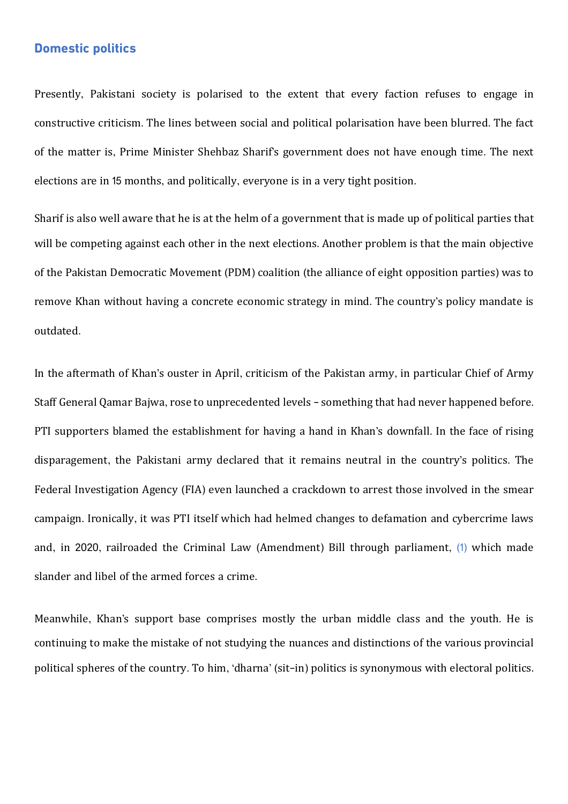# **Domestic politics**

Presently, Pakistani society is polarised to the extent that every faction refuses to engage in constructive criticism. The lines between social and political polarisation have been blurred. The fact of the matter is, Prime Minister Shehbaz Sharif's government does not have enough time. The next elections are in 15 months, and politically, everyone is in a very tight position.

Sharif is also well aware that he is at the helm of a government that is made up of political parties that will be competing against each other in the next elections. Another problem is that the main objective of the Pakistan Democratic Movement (PDM) coalition (the alliance of eight opposition parties) was to remove Khan without having a concrete economic strategy in mind. The country's policy mandate is outdated.

In the aftermath of Khan's ouster in April, criticism of the Pakistan army, in particular Chief of Army Staff General Qamar Bajwa, rose to unprecedented levels - something that had never happened before. PTI supporters blamed the establishment for having a hand in Khan's downfall. In the face of rising disparagement, the Pakistani army declared that it remains neutral in the country's politics. The Federal Investigation Agency (FIA) even launched a crackdown to arrest those involved in the smear campaign. Ironically, it was PTI itself which had helmed changes to defamation and cybercrime laws and, in 2020, railroaded the Criminal Law (Amendment) Bill through parliament, (1) which made slander and libel of the armed forces a crime.

Meanwhile, Khan's support base comprises mostly the urban middle class and the youth. He is continuing to make the mistake of not studying the nuances and distinctions of the various provincial political spheres of the country. To him, 'dharna' (sit-in) politics is synonymous with electoral politics.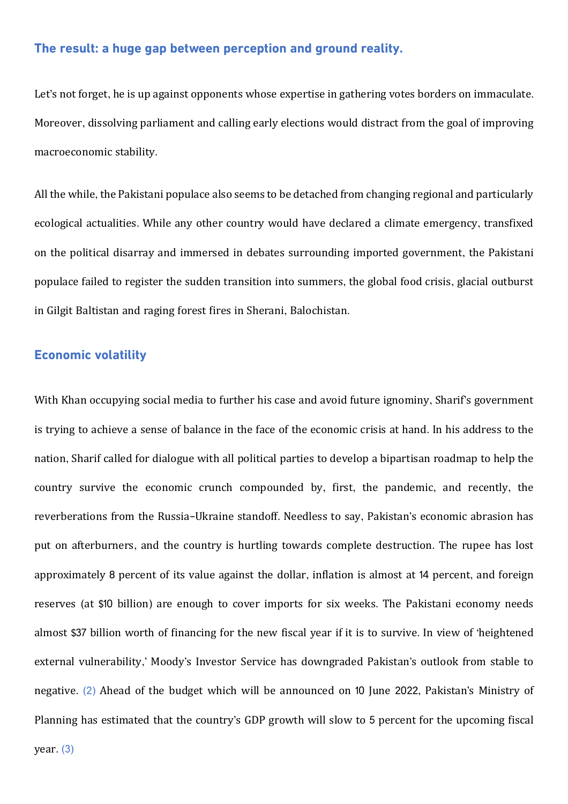## **The result: a huge gap between perception and ground reality.**

Let's not forget, he is up against opponents whose expertise in gathering votes borders on immaculate. Moreover, dissolving parliament and calling early elections would distract from the goal of improving macroeconomic stability.

All the while, the Pakistani populace also seems to be detached from changing regional and particularly ecological actualities. While any other country would have declared a climate emergency, transfixed on the political disarray and immersed in debates surrounding imported government, the Pakistani populace failed to register the sudden transition into summers, the global food crisis, glacial outburst in Gilgit Baltistan and raging forest fires in Sherani, Balochistan.

# **Economic volatility**

With Khan occupying social media to further his case and avoid future ignominy, Sharif's government is trying to achieve a sense of balance in the face of the economic crisis at hand. In his address to the nation, Sharif called for dialogue with all political parties to develop a bipartisan roadmap to help the country survive the economic crunch compounded by, first, the pandemic, and recently, the reverberations from the Russia-Ukraine standoff. Needless to say, Pakistan's economic abrasion has put on afterburners, and the country is hurtling towards complete destruction. The rupee has lost approximately 8 percent of its value against the dollar, inflation is almost at 14 percent, and foreign reserves (at \$10 billion) are enough to cover imports for six weeks. The Pakistani economy needs almost \$37 billion worth of financing for the new fiscal year if it is to survive. In view of 'heightened external vulnerability,' Moody's Investor Service has downgraded Pakistan's outlook from stable to negative. (2) Ahead of the budget which will be announced on 10 June 2022, Pakistan's Ministry of Planning has estimated that the country's GDP growth will slow to 5 percent for the upcoming fiscal

year. (3)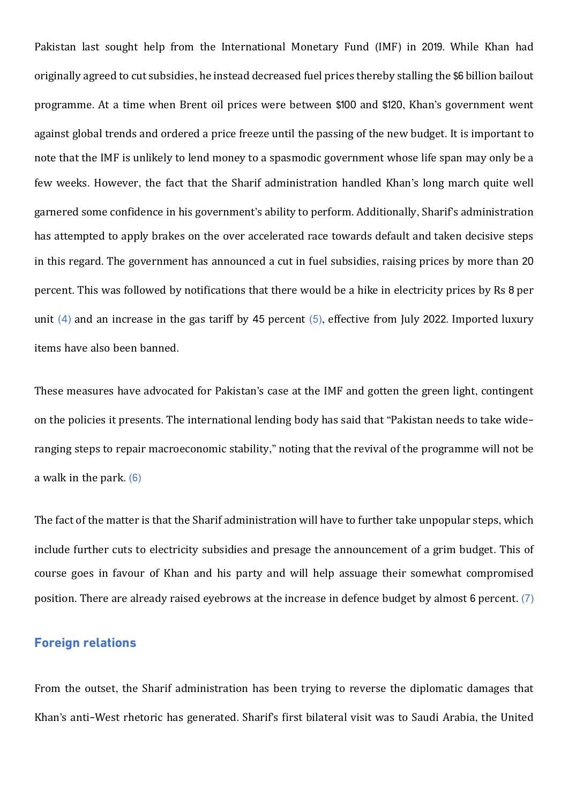Pakistan last sought help from the International Monetary Fund (IMF) in 2019. While Khan had originally agreed to cut subsidies, he instead decreased fuel prices thereby stalling the \$6 billion bailout programme. At a time when Brent oil prices were between \$100 and \$120, Khan's government went against global trends and ordered a price freeze until the passing of the new budget. It is important to note that the IMF is unlikely to lend money to a spasmodic government whose life span may only be a few weeks. However, the fact that the Sharif administration handled Khan's long march quite well garnered some confidence in his government's ability to perform. Additionally, Sharif's administration has attempted to apply brakes on the over accelerated race towards default and taken decisive steps in this regard. The government has announced a cut in fuel subsidies, raising prices by more than 20 percent. This was followed by notifications that there would be a hike in electricity prices by Rs 8 per unit (4) and an increase in the gas tariff by 45 percent (5), effective from July 2022. Imported luxury items have also been banned.

These measures have advocated for Pakistan's case at the IMF and gotten the green light, contingent on the policies it presents. The international lending body has said that "Pakistan needs to take wideranging steps to repair macroeconomic stability," noting that the revival of the programme will not be a walk in the park. (6)

The fact of the matter is that the Sharif administration will have to further take unpopular steps, which include further cuts to electricity subsidies and presage the announcement of a grim budget. This of course goes in favour of Khan and his party and will help assuage their somewhat compromised position. There are already raised eyebrows at the increase in defence budget by almost 6 percent. (7)

## **Foreign relations**

From the outset, the Sharif administration has been trying to reverse the diplomatic damages that Khan's anti-West rhetoric has generated. Sharif's first bilateral visit was to Saudi Arabia, the United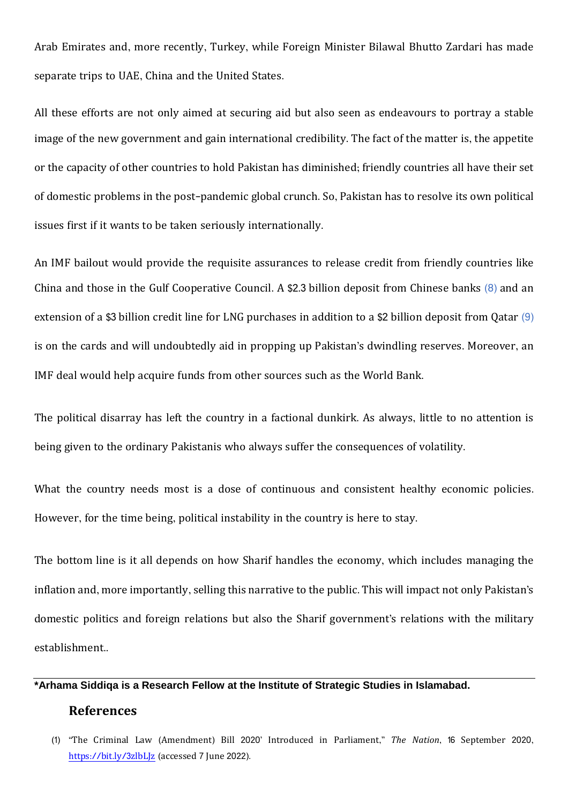Arab Emirates and, more recently, Turkey, while Foreign Minister Bilawal Bhutto Zardari has made separate trips to UAE, China and the United States.

All these efforts are not only aimed at securing aid but also seen as endeavours to portray a stable image of the new government and gain international credibility. The fact of the matter is, the appetite or the capacity of other countries to hold Pakistan has diminished; friendly countries all have their set of domestic problems in the post-pandemic global crunch. So, Pakistan has to resolve its own political issues first if it wants to be taken seriously internationally.

An IMF bailout would provide the requisite assurances to release credit from friendly countries like China and those in the Gulf Cooperative Council. A \$2.3 billion deposit from Chinese banks (8) and an extension of a \$3 billion credit line for LNG purchases in addition to a \$2 billion deposit from Qatar (9) is on the cards and will undoubtedly aid in propping up Pakistan's dwindling reserves. Moreover, an IMF deal would help acquire funds from other sources such as the World Bank.

The political disarray has left the country in a factional dunkirk. As always, little to no attention is being given to the ordinary Pakistanis who always suffer the consequences of volatility.

What the country needs most is a dose of continuous and consistent healthy economic policies. However, for the time being, political instability in the country is here to stay.

The bottom line is it all depends on how Sharif handles the economy, which includes managing the inflation and, more importantly, selling this narrative to the public. This will impact not only Pakistan's domestic politics and foreign relations but also the Sharif government's relations with the military establishment..

#### **\*Arhama Siddiqa is a Research Fellow at the Institute of Strategic Studies in Islamabad.**

#### **References**

<sup>(1)</sup> "The Criminal Law (Amendment) Bill 2020' Introduced in Parliament," *The Nation*, 16 September 2020, https://bit.ly/3[zlbLJz](https://bit.ly/3zlbLJz) (accessed 7 June 2022).